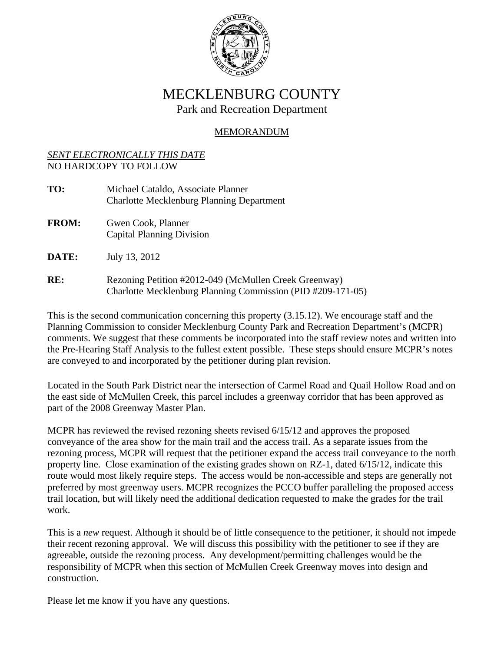

## MECKLENBURG COUNTY Park and Recreation Department

## MEMORANDUM

## *SENT ELECTRONICALLY THIS DATE*  NO HARDCOPY TO FOLLOW

| TO:          | Michael Cataldo, Associate Planner<br><b>Charlotte Mecklenburg Planning Department</b>                               |
|--------------|----------------------------------------------------------------------------------------------------------------------|
| <b>FROM:</b> | Gwen Cook, Planner<br><b>Capital Planning Division</b>                                                               |
| <b>DATE:</b> | July 13, 2012                                                                                                        |
| RE:          | Rezoning Petition #2012-049 (McMullen Creek Greenway)<br>Charlotte Mecklenburg Planning Commission (PID #209-171-05) |

This is the second communication concerning this property (3.15.12). We encourage staff and the Planning Commission to consider Mecklenburg County Park and Recreation Department's (MCPR) comments. We suggest that these comments be incorporated into the staff review notes and written into the Pre-Hearing Staff Analysis to the fullest extent possible. These steps should ensure MCPR's notes are conveyed to and incorporated by the petitioner during plan revision.

Located in the South Park District near the intersection of Carmel Road and Quail Hollow Road and on the east side of McMullen Creek, this parcel includes a greenway corridor that has been approved as part of the 2008 Greenway Master Plan.

MCPR has reviewed the revised rezoning sheets revised 6/15/12 and approves the proposed conveyance of the area show for the main trail and the access trail. As a separate issues from the rezoning process, MCPR will request that the petitioner expand the access trail conveyance to the north property line. Close examination of the existing grades shown on RZ-1, dated 6/15/12, indicate this route would most likely require steps. The access would be non-accessible and steps are generally not preferred by most greenway users. MCPR recognizes the PCCO buffer paralleling the proposed access trail location, but will likely need the additional dedication requested to make the grades for the trail work.

This is a *new* request. Although it should be of little consequence to the petitioner, it should not impede their recent rezoning approval. We will discuss this possibility with the petitioner to see if they are agreeable, outside the rezoning process. Any development/permitting challenges would be the responsibility of MCPR when this section of McMullen Creek Greenway moves into design and construction.

Please let me know if you have any questions.